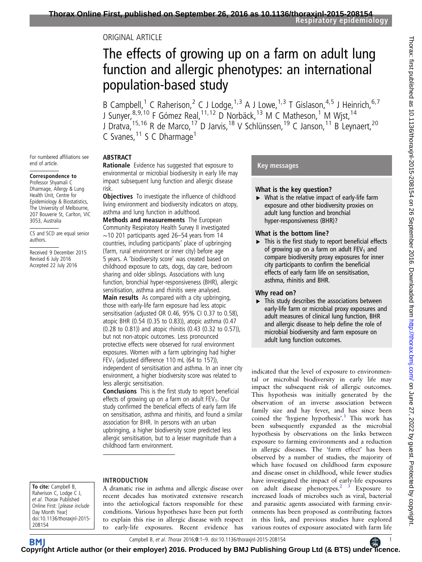## ORIGINAL ARTICLE

# The effects of growing up on a farm on adult lung function and allergic phenotypes: an international population-based study

B Campbell,<sup>1</sup> C Raherison,<sup>2</sup> C J Lodge,<sup>1,3</sup> A J Lowe,<sup>1,3</sup> T Gislason,<sup>4,5</sup> J Heinrich,<sup>6,7</sup> J Sunyer, <sup>8, 9, 10</sup> F Gómez Real, <sup>11, 12</sup> D Norbäck, <sup>13</sup> M C Matheson, <sup>1</sup> M Wjst, <sup>14</sup> J Dratva, <sup>15, 16</sup> R de Marco, <sup>17</sup> D Jarvis, <sup>18</sup> V Schlünssen, <sup>19</sup> C Janson, <sup>11</sup> B Leynaert, <sup>20</sup> C Svanes, <sup>11</sup> S C Dharmage<sup>1</sup>

For numbered affiliations see end of article.

#### Correspondence to

Professor Shyamali C Dharmage, Allergy & Lung Health Unit, Centre for Epidemiology & Biostatistics, The University of Melbourne, 207 Bouverie St, Carlton, VIC 3053, Australia

risk.

CS and SCD are equal senior authors.

Received 9 December 2015 Revised 6 July 2016 Accepted 22 July 2016

ABSTRACT Rationale Evidence has suggested that exposure to environmental or microbial biodiversity in early life may impact subsequent lung function and allergic disease

**Objectives** To investigate the influence of childhood living environment and biodiversity indicators on atopy, asthma and lung function in adulthood.

Methods and measurements The European Community Respiratory Health Survey II investigated ∼10 201 participants aged 26–54 years from 14 countries, including participants' place of upbringing (farm, rural environment or inner city) before age 5 years. A 'biodiversity score' was created based on childhood exposure to cats, dogs, day care, bedroom sharing and older siblings. Associations with lung function, bronchial hyper-responsiveness (BHR), allergic sensitisation, asthma and rhinitis were analysed.

Main results As compared with a city upbringing, those with early-life farm exposure had less atopic sensitisation (adjusted OR 0.46, 95% CI 0.37 to 0.58), atopic BHR (0.54 (0.35 to 0.83)), atopic asthma (0.47 (0.28 to 0.81)) and atopic rhinitis (0.43 (0.32 to 0.57)), but not non-atopic outcomes. Less pronounced protective effects were observed for rural environment exposures. Women with a farm upbringing had higher FEV<sub>1</sub> (adjusted difference 110 mL (64 to 157)), independent of sensitisation and asthma. In an inner city environment, a higher biodiversity score was related to less allergic sensitisation.

Conclusions This is the first study to report beneficial effects of growing up on a farm on adult  $FEV<sub>1</sub>$ . Our study confirmed the beneficial effects of early farm life on sensitisation, asthma and rhinitis, and found a similar association for BHR. In persons with an urban upbringing, a higher biodiversity score predicted less allergic sensitisation, but to a lesser magnitude than a childhood farm environment.

#### To cite: Campbell B, Raherison C, Lodge C J, et al. Thorax Published Online First: [please include Day Month Year] doi:10.1136/thoraxjnl-2015- 208154

## INTRODUCTION

A dramatic rise in asthma and allergic disease over recent decades has motivated extensive research into the aetiological factors responsible for these conditions. Various hypotheses have been put forth to explain this rise in allergic disease with respect to early-life exposures. Recent evidence has

## Key messages

#### What is the key question?

 $\triangleright$  What is the relative impact of early-life farm exposure and other biodiversity proxies on adult lung function and bronchial hyper-responsiveness (BHR)?

#### What is the bottom line?

 $\blacktriangleright$  This is the first study to report beneficial effects of growing up on a farm on adult  $FEV<sub>1</sub>$  and compare biodiversity proxy exposures for inner city participants to confirm the beneficial effects of early farm life on sensitisation, asthma, rhinitis and BHR.

#### Why read on?

 $\blacktriangleright$  This study describes the associations between early-life farm or microbial proxy exposures and adult measures of clinical lung function, BHR and allergic disease to help define the role of microbial biodiversity and farm exposure on adult lung function outcomes.

indicated that the level of exposure to environmental or microbial biodiversity in early life may impact the subsequent risk of allergic outcomes. This hypothesis was initially generated by the observation of an inverse association between family size and hay fever, and has since been coined the 'hygiene hypothesis'. [1](#page-7-0) This work has been subsequently expanded as the microbial hypothesis by observations on the links between exposure to farming environments and a reduction in allergic diseases. The 'farm effect' has been observed by a number of studies, the majority of which have focused on childhood farm exposure and disease onset in childhood, while fewer studies have investigated the impact of early-life exposures on adult disease phenotypes. $2^{3}$  Exposure to increased loads of microbes such as viral, bacterial and parasitic agents associated with farming environments has been proposed as contributing factors in this link, and previous studies have explored various routes of exposure associated with farm life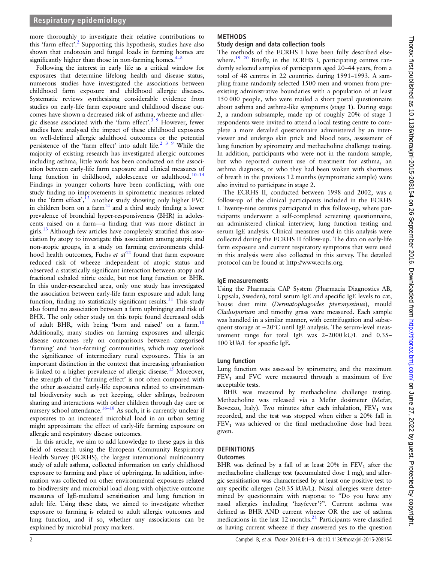more thoroughly to investigate their relative contributions to this 'farm effect'. [2](#page-7-0) Supporting this hypothesis, studies have also shown that endotoxin and fungal loads in farming homes are significantly higher than those in non-farming homes. $4-8$ 

Following the interest in early life as a critical window for exposures that determine lifelong health and disease status, numerous studies have investigated the associations between childhood farm exposure and childhood allergic diseases. Systematic reviews synthesising considerable evidence from studies on early-life farm exposure and childhood disease outcomes have shown a decreased risk of asthma, wheeze and allergic disease associated with the 'farm effect'.<sup>3</sup> <sup>9</sup> However, fewer studies have analysed the impact of these childhood exposures on well-defined allergic adulthood outcomes or the potential persistence of the 'farm effect' into adult life.<sup>2 3 9</sup> While the majority of existing research has investigated allergic outcomes including asthma, little work has been conducted on the association between early-life farm exposure and clinical measures of lung function in childhood, adolescence or adulthood.<sup>[10](#page-7-0)–14</sup> Findings in younger cohorts have been conflicting, with one study finding no improvements in spirometric measures related to the 'farm effect',<sup>[12](#page-7-0)</sup> another study showing only higher FVC in children born on a farm $14$  and a third study finding a lower prevalence of bronchial hyper-responsiveness (BHR) in adolescents raised on a farm—a finding that was more distinct in girls[.13](#page-7-0) Although few articles have completely stratified this association by atopy to investigate this association among atopic and non-atopic groups, in a study on farming environments childhood health outcomes, Fuchs et  $al^{12}$  $al^{12}$  $al^{12}$  found that farm exposure reduced risk of wheeze independent of atopic status and observed a statistically significant interaction between atopy and fractional exhaled nitric oxide, but not lung function or BHR. In this under-researched area, only one study has investigated the association between early-life farm exposure and adult lung function, finding no statistically significant results.<sup>[11](#page-7-0)</sup> This study also found no association between a farm upbringing and risk of BHR. The only other study on this topic found decreased odds of adult BHR, with being 'born and raised' on a farm.<sup>10</sup> Additionally, many studies on farming exposures and allergic disease outcomes rely on comparisons between categorised 'farming' and 'non-farming' communities, which may overlook the significance of intermediary rural exposures. This is an important distinction in the context that increasing urbanisation is linked to a higher prevalence of allergic disease.<sup>15</sup> Moreover, the strength of the 'farming effect' is not often compared with the other associated early-life exposures related to environmental biodiversity such as pet keeping, older siblings, bedroom sharing and interactions with other children through day care or nursery school attendance.<sup>[16](#page-7-0)–18</sup> As such, it is currently unclear if exposures to an increased microbial load in an urban setting might approximate the effect of early-life farming exposure on allergic and respiratory disease outcomes.

In this article, we aim to add knowledge to these gaps in this field of research using the European Community Respiratory Health Survey (ECRHS), the largest international multicountry study of adult asthma, collected information on early childhood exposure to farming and place of upbringing. In addition, information was collected on other environmental exposures related to biodiversity and microbial load along with objective outcome measures of IgE-mediated sensitisation and lung function in adult life. Using these data, we aimed to investigate whether exposure to farming is related to adult allergic outcomes and lung function, and if so, whether any associations can be explained by microbial proxy markers.

## METHODS

## Study design and data collection tools

The methods of the ECRHS I have been fully described elsewhere.<sup>19 20</sup> Briefly, in the ECRHS I, participating centres randomly selected samples of participants aged 20–44 years, from a total of 48 centres in 22 countries during 1991–1993. A sampling frame randomly selected 1500 men and women from preexisting administrative boundaries with a population of at least 150 000 people, who were mailed a short postal questionnaire about asthma and asthma-like symptoms (stage 1). During stage 2, a random subsample, made up of roughly 20% of stage 1 respondents were invited to attend a local testing centre to complete a more detailed questionnaire administered by an interviewer and undergo skin prick and blood tests, assessment of lung function by spirometry and methacholine challenge testing. In addition, participants who were not in the random sample, but who reported current use of treatment for asthma, an asthma diagnosis, or who they had been woken with shortness of breath in the previous 12 months (symptomatic sample) were also invited to participate in stage 2.

The ECRHS II, conducted between 1998 and 2002, was a follow-up of the clinical participants included in the ECRHS I. Twenty-nine centres participated in this follow-up, where participants underwent a self-completed screening questionnaire, an administered clinical interview, lung function testing and serum IgE analysis. Clinical measures used in this analysis were collected during the ECRHS II follow-up. The data on early-life farm exposure and current respiratory symptoms that were used in this analysis were also collected in this survey. The detailed protocol can be found at<http://www.ecrhs.org>.

## IgE measurements

Using the Pharmacia CAP System (Pharmacia Diagnostics AB, Uppsala, Sweden), total serum IgE and specific IgE levels to cat, house dust mite (Dermatophagoides pteronyssinus), mould Cladosporium and timothy grass were measured. Each sample was handled in a similar manner, with centrifugation and subsequent storage at −20°C until IgE analysis. The serum-level measurement range for total IgE was 2–2000 kU/L and 0.35– 100 kUA/L for specific IgE.

### Lung function

Lung function was assessed by spirometry, and the maximum  $FEV<sub>1</sub>$  and FVC were measured through a maximum of five acceptable tests.

BHR was measured by methacholine challenge testing. Methacholine was released via a Mefar dosimeter (Mefar, Bovezzo, Italy). Two minutes after each inhalation,  $FEV<sub>1</sub>$  was recorded, and the test was stopped when either a 20% fall in  $FEV<sub>1</sub>$  was achieved or the final methacholine dose had been given.

## DEFINITIONS

### **Outcomes**

BHR was defined by a fall of at least  $20\%$  in  $FEV<sub>1</sub>$  after the methacholine challenge test (accumulated dose 1 mg), and allergic sensitisation was characterised by at least one positive test to any specific allergen (≥0.35 kUA/L). Nasal allergies were determined by questionnaire with response to "Do you have any nasal allergies including 'hayfever'?". Current asthma was defined as BHR AND current wheeze OR the use of asthma medications in the last  $12$  months.<sup>21</sup> Participants were classified as having current wheeze if they answered yes to the question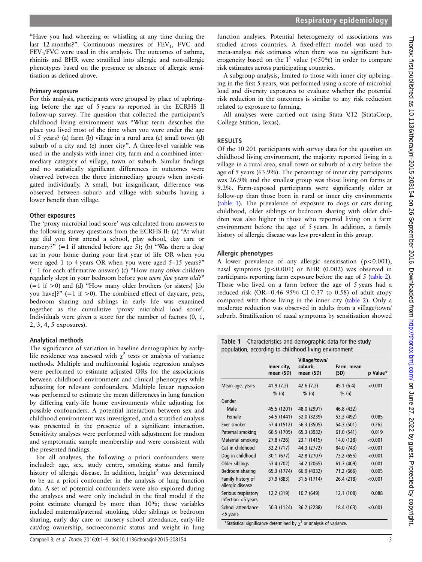Thorax: first published as 10.1136/thoraxjnl-2015-208154 on 26 September 2016. Downloaded from http://thorax.bmj.com/ on June 27, 2022 by guest. Protected by copyright Thorax: first published as 10.1136/thoraxjnl-2015-208154 on 26 September 2016. Downloaded from <http://thorax.bmj.com/> June 27, 2022 by guest. Protected by copyright.

"Have you had wheezing or whistling at any time during the last 12 months?". Continuous measures of  $FEV<sub>1</sub>$ , FVC and  $FEV<sub>1</sub>/FVC$  were used in this analysis. The outcomes of asthma, rhinitis and BHR were stratified into allergic and non-allergic phenotypes based on the presence or absence of allergic sensitisation as defined above.

#### Primary exposure

For this analysis, participants were grouped by place of upbringing before the age of 5 years as reported in the ECRHS II follow-up survey. The question that collected the participant's childhood living environment was "What term describes the place you lived most of the time when you were under the age of 5 years? (a) farm (b) village in a rural area (c) small town (d) suburb of a city and (e) inner city". A three-level variable was used in the analysis with inner city, farm and a combined intermediary category of village, town or suburb. Similar findings and no statistically significant differences in outcomes were observed between the three intermediary groups when investigated individually. A small, but insignificant, difference was observed between suburb and village with suburbs having a lower benefit than village.

### Other exposures

The 'proxy microbial load score' was calculated from answers to the following survey questions from the ECRHS II: (a) "At what age did you first attend a school, play school, day care or nursery?"  $(=1 \text{ if attended before age 5})$ ; (b) "Was there a dog/ cat in your home during your first year of life OR when you were aged 1 to 4 years OR when you were aged 5–15 years?" (=1 for each affirmative answer) (c) "How many other children regularly slept in your bedroom before you were five years old?"  $(=1 \text{ if } > 0)$  and (d) "How many older brothers (or sisters) [do you have]?"  $(=1 \text{ if } > 0)$ . The combined effect of daycare, pets, bedroom sharing and siblings in early life was examined together as the cumulative 'proxy microbial load score'. Individuals were given a score for the number of factors (0, 1, 2, 3, 4, 5 exposures).

## Analytical methods

The significance of variation in baseline demographics by earlylife residence was assessed with  $\chi^2$  tests or analysis of variance methods. Multiple and multinomial logistic regression analyses were performed to estimate adjusted ORs for the associations between childhood environment and clinical phenotypes while adjusting for relevant confounders. Multiple linear regression was performed to estimate the mean differences in lung function by differing early-life home environments while adjusting for possible confounders. A potential interaction between sex and childhood environment was investigated, and a stratified analysis was presented in the presence of a significant interaction. Sensitivity analyses were performed with adjustment for random and symptomatic sample membership and were consistent with the presented findings.

For all analyses, the following a priori confounders were included: age, sex, study centre, smoking status and family history of allergic disease. In addition, height<sup>2</sup> was determined to be an a priori confounder in the analysis of lung function data. A set of potential confounders were also explored during the analyses and were only included in the final model if the point estimate changed by more than 10%; these variables included maternal/paternal smoking, older siblings or bedroom sharing, early day care or nursery school attendance, early-life cat/dog ownership, socioeconomic status and weight in lung

function analyses. Potential heterogeneity of associations was studied across countries. A fixed-effect model was used to meta-analyse risk estimates when there was no significant heterogeneity based on the  $I^2$  value (<50%) in order to compare risk estimates across participating countries.

A subgroup analysis, limited to those with inner city upbringing in the first 5 years, was performed using a score of microbial load and diversity exposures to evaluate whether the potential risk reduction in the outcomes is similar to any risk reduction related to exposure to farming.

All analyses were carried out using Stata V.12 (StataCorp, College Station, Texas).

## RESULTS

Of the 10 201 participants with survey data for the question on childhood living environment, the majority reported living in a village in a rural area, small town or suburb of a city before the age of 5 years (63.9%). The percentage of inner city participants was 26.9% and the smallest group was those living on farms at 9.2%. Farm-exposed participants were significantly older at follow-up than those born in rural or inner city environments (table 1). The prevalence of exposure to dogs or cats during childhood, older siblings or bedroom sharing with older children was also higher in those who reported living on a farm environment before the age of 5 years. In addition, a family history of allergic disease was less prevalent in this group.

## Allergic phenotypes

A lower prevalence of any allergic sensitisation (p<0.001), nasal symptoms (p<0.001) or BHR (0.002) was observed in participants reporting farm exposure before the age of 5 ([table 2](#page-3-0)). Those who lived on a farm before the age of 5 years had a reduced risk (OR=0.46 95% CI 0.37 to 0.58) of adult atopy compared with those living in the inner city ([table 2](#page-3-0)). Only a moderate reduction was observed in adults from a village/town/ suburb. Stratification of nasal symptoms by sensitisation showed

Table 1 Characteristics and demographic data for the study population, according to childhood living environment

|                                           | Inner city,<br>mean (SD) | Village/town/<br>suburb,<br>mean (SD) | Farm, mean<br>(SD) | p Value* |
|-------------------------------------------|--------------------------|---------------------------------------|--------------------|----------|
| Mean age, years                           | 41.9 (7.2)               | 42.6 (7.2)                            | 45.1(6.4)          | < 0.001  |
|                                           | % (n)                    | % (n)                                 | % (n)              |          |
| Gender                                    |                          |                                       |                    |          |
| Male                                      | 45.5 (1201)              | 48.0 (2991)                           | 46.8 (432)         |          |
| Female                                    | 54.5 (1441)              | 52.0 (3239)                           | 53.3 (492)         | 0.085    |
| Ever smoker                               | 57.4 (1512)              | 56.3 (3505)                           | 54.3 (501)         | 0.262    |
| Paternal smoking                          | 66.5 (1705)              | 65.3 (3932)                           | 61.0 (541)         | 0.019    |
| Maternal smoking                          | 27.8 (726)               | 23.1 (1415)                           | 14.0 (128)         | < 0.001  |
| Cat in childhood                          | 32.2 (717)               | 44.3 (2772)                           | 84.0 (743)         | < 0.001  |
| Dog in childhood                          | 30.1 (677)               | 42.8 (2707)                           | 73.2 (655)         | < 0.001  |
| Older siblings                            | 53.4 (702)               | 54.2 (2065)                           | 61.7 (409)         | 0.001    |
| Bedroom sharing                           | 65.3 (1774)              | 66.9 (4332)                           | 71.2 (666)         | 0.005    |
| Family history of<br>allergic disease     | 37.9 (883)               | 31.5 (1714)                           | 26.4 (218)         | < 0.001  |
| Serious respiratory<br>infection <5 years | 12.2 (319)               | 10.7 (649)                            | 12.1 (108)         | 0.088    |
| School attendance<br><5 years             | 50.3 (1124)              | 36.2 (2288)                           | 18.4 (163)         | < 0.001  |
|                                           | $\cdot$ $\cdot$          | $\mathcal{L}$                         |                    |          |

\*Statistical significance determined by  $\chi^2$  or analysis of variance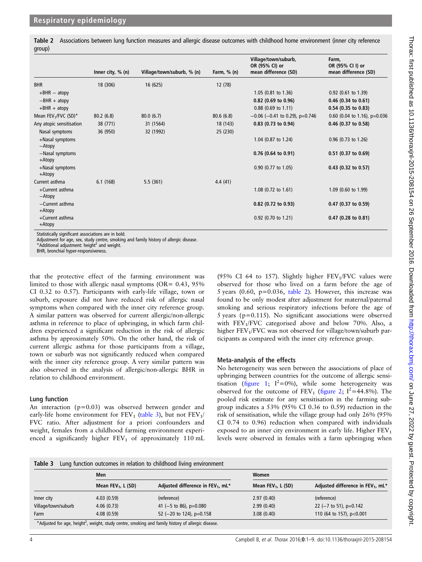<span id="page-3-0"></span>Table 2 Associations between lung function measures and allergic disease outcomes with childhood home environment (inner city reference group)

|                                              | Inner city, $% (n)$ | Village/town/suburb, % (n) | Farm, $% (n)$ | Village/town/suburb,<br>OR (95% CI) or<br>mean difference (SD) | Farm,<br>OR (95% CI I) or<br>mean difference (SD) |
|----------------------------------------------|---------------------|----------------------------|---------------|----------------------------------------------------------------|---------------------------------------------------|
| <b>BHR</b>                                   | 18 (306)            | 16 (625)                   | 12 (78)       |                                                                |                                                   |
| $+BHR - atopy$                               |                     |                            |               | $1.05$ (0.81 to 1.36)                                          | $0.92$ (0.61 to 1.39)                             |
| $-BHR + atopy$                               |                     |                            |               | $0.82$ (0.69 to 0.96)                                          | $0.46$ (0.34 to 0.61)                             |
| $+BHR + atopy$                               |                     |                            |               | $0.88$ (0.69 to 1.11)                                          | $0.54$ (0.35 to 0.83)                             |
| Mean FEV <sub>1</sub> /FVC (SD) <sup>*</sup> | 80.2(6.8)           | 80.0(6.7)                  | 80.6(6.8)     | $-0.06$ (-0.41 to 0.29), p=0.746                               | 0.60 (0.04 to 1.16), $p=0.036$                    |
| Any atopic sensitisation                     | 38 (771)            | 31 (1564)                  | 18 (143)      | $0.83$ (0.73 to 0.94)                                          | $0.46$ (0.37 to 0.58)                             |
| Nasal symptoms                               | 36 (950)            | 32 (1992)                  | 25 (230)      |                                                                |                                                   |
| +Nasal symptoms<br>-Atopy                    |                     |                            |               | 1.04 (0.87 to 1.24)                                            | $0.96$ (0.73 to 1.26)                             |
| -Nasal symptoms<br>+Atopy                    |                     |                            |               | $0.76$ (0.64 to 0.91)                                          | $0.51$ (0.37 to 0.69)                             |
| +Nasal symptoms<br>+Atopy                    |                     |                            |               | 0.90 (0.77 to 1.05)                                            | $0.43$ (0.32 to 0.57)                             |
| Current asthma                               | 6.1(168)            | 5.5(361)                   | 4.4(41)       |                                                                |                                                   |
| +Current asthma<br>$-Atopy$                  |                     |                            |               | 1.08 $(0.72 \text{ to } 1.61)$                                 | 1.09 (0.60 to 1.99)                               |
| $-Current$ asthma<br>$+Atopy$                |                     |                            |               | 0.82 (0.72 to 0.93)                                            | 0.47 (0.37 to 0.59)                               |
| +Current asthma<br>+Atopy                    |                     |                            |               | $0.92$ (0.70 to 1.21)                                          | $0.47$ (0.28 to 0.81)                             |

Statistically significant associations are in bold.

Adjustment for age, sex, study centre, smoking and family history of allergic disease.

 $*$ Additional adjustment: height<sup>2</sup> and weight.

BHR, bronchial hyper-responsiveness.

that the protective effect of the farming environment was limited to those with allergic nasal symptoms ( $OR = 0.43$ ,  $95\%$ ) CI 0.32 to 0.57). Participants with early-life village, town or suburb, exposure did not have reduced risk of allergic nasal symptoms when compared with the inner city reference group. A similar pattern was observed for current allergic/non-allergic asthma in reference to place of upbringing, in which farm children experienced a significant reduction in the risk of allergic asthma by approximately 50%. On the other hand, the risk of current allergic asthma for those participants from a village, town or suburb was not significantly reduced when compared with the inner city reference group. A very similar pattern was also observed in the analysis of allergic/non-allergic BHR in relation to childhood environment.

#### Lung function

An interaction (p=0.03) was observed between gender and early-life home environment for  $FEV_1$  (table 3), but not  $FEV_1$ / FVC ratio. After adjustment for a priori confounders and weight, females from a childhood farming environment experienced a significantly higher  $FEV_1$  of approximately 110 mL

(95% CI 64 to 157). Slightly higher  $FEV<sub>1</sub>/FVC$  values were observed for those who lived on a farm before the age of 5 years  $(0.60, p=0.036, table 2)$ . However, this increase was found to be only modest after adjustment for maternal/paternal smoking and serious respiratory infections before the age of 5 years (p=0.115). No significant associations were observed with  $FEV<sub>1</sub>/FVC$  categorised above and below 70%. Also, a higher  $FEV<sub>1</sub>/FVC$  was not observed for village/town/suburb participants as compared with the inner city reference group.

#### Meta-analysis of the effects

No heterogeneity was seen between the associations of place of upbringing between countries for the outcome of allergic sensitisation (fi[gure 1](#page-4-0);  $I^2=0\%$ ), while some heterogeneity was observed for the outcome of  $FEV_1$  (fi[gure 2;](#page-4-0)  $I^2=44.8\%$ ). The pooled risk estimate for any sensitisation in the farming subgroup indicates a 53% (95% CI 0.36 to 0.59) reduction in the risk of sensitisation, while the village group had only 26% (95% CI 0.74 to 0.96) reduction when compared with individuals exposed to an inner city environment in early life. Higher  $FEV<sub>1</sub>$ levels were observed in females with a farm upbringing when

#### Table 3 Lung function outcomes in relation to childhood living environment

|                     | Men                   |                                               | Women                 |                                               |  |
|---------------------|-----------------------|-----------------------------------------------|-----------------------|-----------------------------------------------|--|
|                     | Mean $FEV_1$ , L (SD) | Adjusted difference in FEV <sub>1</sub> , mL* | Mean $FEV_1$ , L (SD) | Adjusted difference in FEV <sub>1</sub> , mL* |  |
| Inner city          | 4.03(0.59)            | (reference)                                   | 2.97(0.40)            | (reference)                                   |  |
| Village/town/suburb | 4.06(0.73)            | 41 (-5 to 86), $p=0.080$                      | 2.99(0.40)            | 22 ( $-7$ to 51), p=0.142                     |  |
| Farm                | 4.08(0.59)            | 52 ( $-20$ to 124), p=0.158                   | 3.08(0.40)            | 110 (64 to 157), p<0.001                      |  |

\*Adjusted for age, height<sup>2</sup>, weight, study centre, smoking and family history of allergic disease.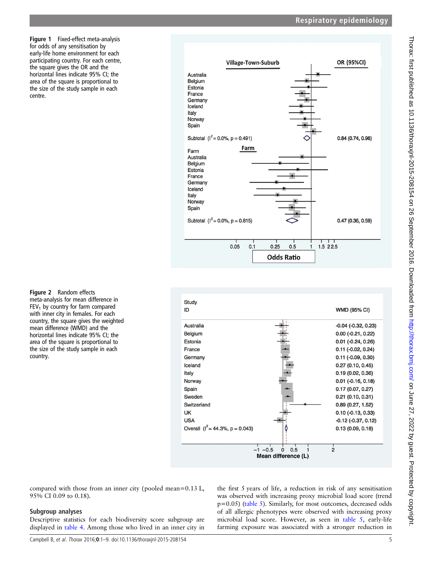<span id="page-4-0"></span>Figure 1 Fixed-effect meta-analysis for odds of any sensitisation by early-life home environment for each participating country. For each centre, the square gives the OR and the horizontal lines indicate 95% CI; the area of the square is proportional to the size of the study sample in each centre.

OR (95%CI) **Village-Town-Suburb** Australia Belgium Estonia France Germany Iceland Italy Norway Spain Subtotal  $(I^2 = 0.0\% , p = 0.491)$ 0.84 (0.74, 0.96) Farm Farm Australia Belaium Estonia France Germany Iceland Italy Norway Spain Subtotal ( $I^2 = 0.0\%$ , p = 0.815)  $0.47(0.36, 0.59)$  $0.05$  $0.1$  $0.25$  $0.5$  $1.522.5$ **Odds Ratio** 





compared with those from an inner city (pooled mean=0.13 L, 95% CI 0.09 to 0.18).

## Subgroup analyses

Descriptive statistics for each biodiversity score subgroup are displayed in [table 4.](#page-5-0) Among those who lived in an inner city in

the first 5 years of life, a reduction in risk of any sensitisation was observed with increasing proxy microbial load score (trend p=0.05) [\(table 5](#page-5-0)). Similarly, for most outcomes, decreased odds of all allergic phenotypes were observed with increasing proxy microbial load score. However, as seen in [table 5](#page-5-0), early-life farming exposure was associated with a stronger reduction in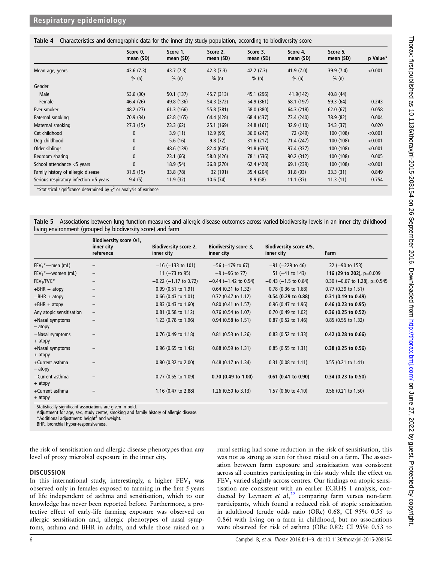<span id="page-5-0"></span>

|  |  | Table 4 Characteristics and demographic data for the inner city study population, according to biodiversity score |
|--|--|-------------------------------------------------------------------------------------------------------------------|

|                                           | Score 0,<br>mean (SD) | Score 1,<br>mean (SD) | Score 2,<br>mean (SD) | Score 3,<br>mean (SD) | Score 4,<br>mean (SD) | Score 5,<br>mean (SD) | p Value* |
|-------------------------------------------|-----------------------|-----------------------|-----------------------|-----------------------|-----------------------|-----------------------|----------|
| Mean age, years                           | 43.6(7.3)             | 43.7(7.3)             | 42.3(7.3)             | 42.2(7.3)             | 41.9(7.0)             | 39.9(7.4)             | < 0.001  |
|                                           | % (n)                 | % (n)                 | % (n)                 | % (n)                 | % (n)                 | % (n)                 |          |
| Gender                                    |                       |                       |                       |                       |                       |                       |          |
| Male                                      | 53.6 (30)             | 50.1 (137)            | 45.7 (313)            | 45.1 (296)            | 41.9(142)             | 40.8(44)              |          |
| Female                                    | 46.4 (26)             | 49.8 (136)            | 54.3 (372)            | 54.9 (361)            | 58.1 (197)            | 59.3 (64)             | 0.243    |
| Ever smoker                               | 48.2 (27)             | 61.3 (166)            | 55.8 (381)            | 58.0 (380)            | 64.3 (218)            | 62.0(67)              | 0.058    |
| Paternal smoking                          | 70.9 (34)             | 62.8 (165)            | 64.4 (428)            | 68.4 (437)            | 73.4 (240)            | 78.9 (82)             | 0.004    |
| Maternal smoking                          | 27.3(15)              | 23.3(62)              | 25.1 (169)            | 24.8 (161)            | 32.9 (110)            | 34.3 (37)             | 0.020    |
| Cat childhood                             | 0                     | 3.9(11)               | 12.9(95)              | 36.0 (247)            | 72 (249)              | 100 (108)             | < 0.001  |
| Dog childhood                             | $\mathbf{0}$          | 5.6(16)               | 9.8(72)               | 31.6(217)             | 71.4 (247)            | 100 (108)             | < 0.001  |
| Older siblings                            | $\mathbf{0}$          | 48.6 (139)            | 82.4 (605)            | 91.8 (630)            | 97.4 (337)            | 100 (108)             | < 0.001  |
| Bedroom sharing                           | $\mathbf{0}$          | 23.1(66)              | 58.0 (426)            | 78.1 (536)            | 90.2 (312)            | 100 (108)             | 0.005    |
| School attendance <5 years                | $\Omega$              | 18.9(54)              | 36.8 (270)            | 62.4 (428)            | 69.1 (239)            | 100 (108)             | < 0.001  |
| Family history of allergic disease        | 31.9(15)              | 33.8 (78)             | 32 (191)              | 35.4 (204)            | 31.8 (93)             | 33.3 (31)             | 0.849    |
| Serious respiratory infection $<$ 5 years | 9.4(5)                | 11.9 (32)             | 10.6(74)              | 8.9(58)               | 11.1(37)              | 11.3(11)              | 0.754    |

\*Statistical significance determined by  $\chi^2$  or analysis of variance.

Table 5 Associations between lung function measures and allergic disease outcomes across varied biodiversity levels in an inner city childhood living environment (grouped by biodiversity score) and farm

|                              | Biodiversity score 0/1,<br>inner city<br>reference | Biodiversity score 2,<br>inner city | <b>Biodiversity score 3,</b><br>inner city | Biodiversity score 4/5,<br>inner city | Farm                          |
|------------------------------|----------------------------------------------------|-------------------------------------|--------------------------------------------|---------------------------------------|-------------------------------|
| $FEV_1^*$ —men $(mL)$        | $\overline{\phantom{0}}$                           | $-16$ ( $-133$ to 101)              | $-56$ ( $-179$ to 67)                      | $-91$ ( $-229$ to 46)                 | $32$ (-90 to 153)             |
| $FEV_1^*$ - women (mL)       | $\overline{\phantom{m}}$                           | 11 $(-73$ to 95)                    | $-9$ ( $-96$ to 77)                        | $51 (-41 to 143)$                     | 116 (29 to 202), $p=0.009$    |
| $FEV1/FVC*$                  | -                                                  | $-0.22$ ( $-1.17$ to 0.72)          | $-0.44$ ( $-1.42$ to 0.54)                 | $-0.43$ ( $-1.5$ to 0.64)             | 0.30 (-0.67 to 1.28), p=0.545 |
| $+BHR - atopy$               | -                                                  | $0.99(0.51 \text{ to } 1.91)$       | $0.64$ (0.31 to 1.32)                      | $0.78$ (0.36 to 1.68)                 | $0.77$ (0.39 to 1.51)         |
| $-BHR + atopy$               |                                                    | $0.66$ (0.43 to 1.01)               | $0.72$ (0.47 to 1.12)                      | 0.54 (0.29 to 0.88)                   | $0.31$ (0.19 to 0.49)         |
| $+BHR + atopy$               |                                                    | $0.83$ (0.43 to 1.60)               | $0.80$ (0.41 to 1.57)                      | $0.96$ (0.47 to 1.96)                 | $0.46$ (0.23 to 0.95)         |
| Any atopic sensitisation     | $\qquad \qquad -$                                  | $0.81$ (0.58 to 1.12)               | $0.76$ (0.54 to 1.07)                      | $0.70$ (0.49 to 1.02)                 | $0.36$ (0.25 to 0.52)         |
| +Nasal symptoms<br>$-$ atopy |                                                    | 1.23 $(0.78 \text{ to } 1.96)$      | $0.94$ (0.58 to 1.51)                      | $0.87$ (0.52 to 1.46)                 | $0.85$ (0.55 to 1.32)         |
| -Nasal symptoms<br>+ atopy   |                                                    | $0.76$ (0.49 to 1.18)               | $0.81$ (0.53 to 1.26)                      | $0.83$ (0.52 to 1.33)                 | $0.42$ (0.28 to 0.66)         |
| +Nasal symptoms<br>+ atopy   |                                                    | $0.96$ (0.65 to 1.42)               | $0.88$ (0.59 to 1.31)                      | $0.85$ (0.55 to 1.31)                 | $0.38$ (0.25 to 0.56)         |
| +Current asthma<br>- atopy   |                                                    | $0.80$ (0.32 to 2.00)               | $0.48$ (0.17 to 1.34)                      | $0.31$ (0.08 to 1.11)                 | $0.55$ (0.21 to 1.41)         |
| -Current asthma<br>+ atopy   |                                                    | $0.77$ (0.55 to 1.09)               | $0.70$ (0.49 to 1.00)                      | $0.61$ (0.41 to 0.90)                 | $0.34$ (0.23 to 0.50)         |
| +Current asthma<br>+ atopy   |                                                    | 1.16 $(0.47 \text{ to } 2.88)$      | $1.26$ (0.50 to 3.13)                      | $1.57$ (0.60 to 4.10)                 | $0.56$ (0.21 to 1.50)         |

Statistically significant associations are given in bold.

Adjustment for age, sex, study centre, smoking and family history of allergic disease.<br>\*Additional adjustment: height<sup>2</sup> and weight.

BHR, bronchial hyper-responsiveness.

the risk of sensitisation and allergic disease phenotypes than any level of proxy microbial exposure in the inner city.

#### **DISCUSSION**

In this international study, interestingly, a higher  $FEV<sub>1</sub>$  was observed only in females exposed to farming in the first 5 years of life independent of asthma and sensitisation, which to our knowledge has never been reported before. Furthermore, a protective effect of early-life farming exposure was observed on allergic sensitisation and, allergic phenotypes of nasal symptoms, asthma and BHR in adults, and while those raised on a

rural setting had some reduction in the risk of sensitisation, this was not as strong as seen for those raised on a farm. The association between farm exposure and sensitisation was consistent across all countries participating in this study while the effect on  $FEV<sub>1</sub>$  varied slightly across centres. Our findings on atopic sensitisation are consistent with an earlier ECRHS I analysis, con-ducted by Leynaert et al,<sup>[22](#page-7-0)</sup> comparing farm versus non-farm participants, which found a reduced risk of atopic sensitisation in adulthood (crude odds ratio (ORc) 0.68, CI 95% 0.55 to 0.86) with living on a farm in childhood, but no associations were observed for risk of asthma (ORc 0.82; CI 95% 0.53 to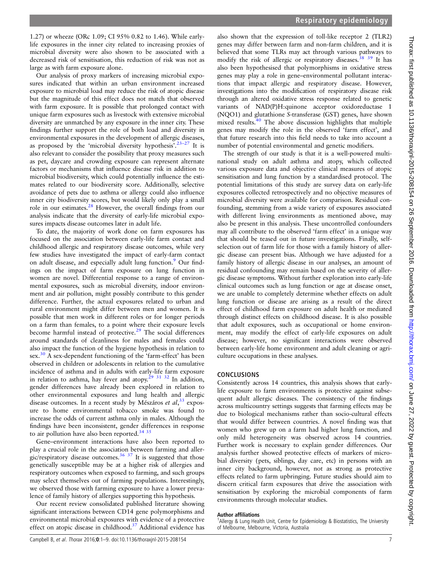1.27) or wheeze (ORc 1.09; CI 95% 0.82 to 1.46). While earlylife exposures in the inner city related to increasing proxies of microbial diversity were also shown to be associated with a decreased risk of sensitisation, this reduction of risk was not as large as with farm exposure alone.

Our analysis of proxy markers of increasing microbial exposures indicated that within an urban environment increased exposure to microbial load may reduce the risk of atopic disease but the magnitude of this effect does not match that observed with farm exposure. It is possible that prolonged contact with unique farm exposures such as livestock with extensive microbial diversity are unmatched by any exposure in the inner city. These findings further support the role of both load and diversity in environmental exposures in the development of allergic diseases, as proposed by the 'microbial diversity hypothesis'.<sup>23-[27](#page-7-0)</sup> It is also relevant to consider the possibility that proxy measures such as pet, daycare and crowding exposure can represent alternate factors or mechanisms that influence disease risk in addition to microbial biodiversity, which could potentially influence the estimates related to our biodiversity score. Additionally, selective avoidance of pets due to asthma or allergy could also influence inner city biodiversity scores, but would likely only play a small role in our estimates.[28](#page-7-0) However, the overall findings from our analysis indicate that the diversity of early-life microbial exposures impacts disease outcomes later in adult life.

To date, the majority of work done on farm exposures has focused on the association between early-life farm contact and childhood allergic and respiratory disease outcomes, while very few studies have investigated the impact of early-farm contact on adult disease, and especially adult lung function.<sup>[9](#page-7-0)</sup> Our findings on the impact of farm exposure on lung function in women are novel. Differential response to a range of environmental exposures, such as microbial diversity, indoor environment and air pollution, might possibly contribute to this gender difference. Further, the actual exposures related to urban and rural environment might differ between men and women. It is possible that men work in different roles or for longer periods on a farm than females, to a point where their exposure levels become harmful instead of protective.<sup>[29](#page-7-0)</sup> The social differences around standards of cleanliness for males and females could also impact the function of the hygiene hypothesis in relation to sex.<sup>[30](#page-7-0)</sup> A sex-dependent functioning of the 'farm-effect' has been observed in children or adolescents in relation to the cumulative incidence of asthma and in adults with early-life farm exposure in relation to asthma, hay fever and atopy.<sup>[29 31 32](#page-7-0)</sup> In addition, gender differences have already been explored in relation to other environmental exposures and lung health and allergic disease outcomes. In a recent study by Mészáros et  $al$ ,  $33$  exposure to home environmental tobacco smoke was found to increase the odds of current asthma only in males. Although the findings have been inconsistent, gender differences in response to air pollution have also been reported.<sup>34</sup> <sup>35</sup>

Gene–environment interactions have also been reported to play a crucial role in the association between farming and aller-gic/respiratory disease outcomes.<sup>[36 37](#page-8-0)</sup> It is suggested that those genetically susceptible may be at a higher risk of allergies and respiratory outcomes when exposed to farming, and such groups may select themselves out of farming populations. Interestingly, we observed those with farming exposure to have a lower prevalence of family history of allergies supporting this hypothesis.

Our recent review consolidated published literature showing significant interactions between CD14 gene polymorphisms and environmental microbial exposures with evidence of a protective effect on atopic disease in childhood[.37](#page-8-0) Additional evidence has

also shown that the expression of toll-like receptor 2 (TLR2) genes may differ between farm and non-farm children, and it is believed that some TLRs may act through various pathways to modify the risk of allergic or respiratory diseases.<sup>38</sup> <sup>39</sup> It has also been hypothesised that polymorphisms in oxidative stress genes may play a role in gene–environmental pollutant interactions that impact allergic and respiratory disease. However, investigations into the modification of respiratory disease risk through an altered oxidative stress response related to genetic variants of NAD(P)H:quinone acceptor oxidoreductase 1 (NQO1) and glutathione S-transferase (GST) genes, have shown mixed results.<sup>[40](#page-8-0)</sup> The above discussion highlights that multiple genes may modify the role in the observed 'farm effect', and that future research into this field needs to take into account a number of potential environmental and genetic modifiers.

The strength of our study is that it is a well-powered multinational study on adult asthma and atopy, which collected various exposure data and objective clinical measures of atopic sensitisation and lung function by a standardised protocol. The potential limitations of this study are survey data on early-life exposures collected retrospectively and no objective measures of microbial diversity were available for comparison. Residual confounding, stemming from a wide variety of exposures associated with different living environments as mentioned above, may also be present in this analysis. These uncontrolled confounders may all contribute to the observed 'farm effect' in a unique way that should be teased out in future investigations. Finally, selfselection out of farm life for those with a family history of allergic disease can present bias. Although we have adjusted for a family history of allergic disease in our analyses, an amount of residual confounding may remain based on the severity of allergic disease symptoms. Without further exploration into early-life clinical outcomes such as lung function or age at disease onset, we are unable to completely determine whether effects on adult lung function or disease are arising as a result of the direct effect of childhood farm exposure on adult health or mediated through distinct effects on childhood disease. It is also possible that adult exposures, such as occupational or home environment, may modify the effect of early-life exposures on adult disease; however, no significant interactions were observed between early-life home environment and adult cleaning or agriculture occupations in these analyses.

### CONCLUSIONS

Consistently across 14 countries, this analysis shows that earlylife exposure to farm environments is protective against subsequent adult allergic diseases. The consistency of the findings across multicountry settings suggests that farming effects may be due to biological mechanisms rather than socio-cultural effects that would differ between countries. A novel finding was that women who grew up on a farm had higher lung function, and only mild heterogeneity was observed across 14 countries. Further work is necessary to explain gender differences. Our analysis further showed protective effects of markers of microbial diversity (pets, siblings, day care, etc) in persons with an inner city background, however, not as strong as protective effects related to farm upbringing. Future studies should aim to discern critical farm exposures that drive the association with sensitisation by exploring the microbial components of farm environments through molecular studies.

#### Author affiliations <sup>1</sup>

<sup>1</sup>Allergy & Lung Health Unit, Centre for Epidemiology & Biostatistics, The University of Melbourne, Melbourne, Victoria, Australia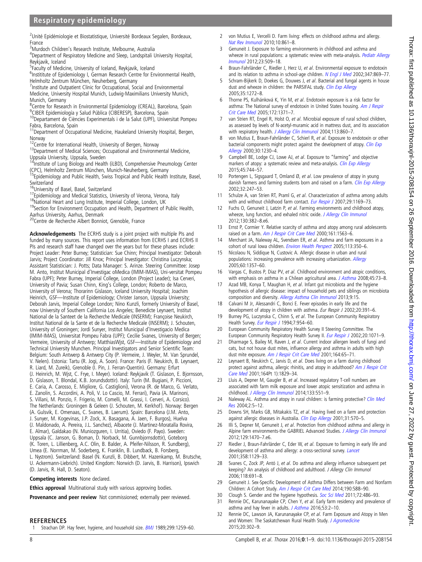## <span id="page-7-0"></span>Respiratory epidemiology

<sup>2</sup>Unité Epidémiologie et Biostatistique, Université Bordeaux Segalen, Bordeaux, France

<sup>3</sup> Murdoch Children's Research Institute, Melbourne, Australia<br><sup>4</sup> Department of Bespiratory Medicine and Sleep Landspitali I

Department of Respiratory Medicine and Sleep, Landspitali University Hospital, Reykjavik, Iceland

<sup>5</sup>Faculty of Medicine, University of Iceland, Reykjavik, Iceland

<sup>6</sup>Instititute of Epidemiology I, German Research Centre for Environmental Health, Helmholtz Zentrum München, Neuherberg, Germany

<sup>7</sup>Institute and Outpatient Clinic for Occupational, Social and Environmental Medicine, University Hospital Munich, Ludwig-Maximilians University Munich, Munich, Germany

<sup>8</sup>Centre for Research in Environmental Epidemiology (CREAL), Barcelona, Spain <sup>9</sup>CIBER Epidemiología y Salud Pública (CIBERESP), Barcelona, Spain

<sup>10</sup>Departament de Ciències Experimentals i de la Salut (UPF), Universitat Pompeu Fabra, Barcelona, Spain

<sup>11</sup>Department of Occupational Medicine, Haukeland University Hospital, Bergen, Norway<br><sup>12</sup>Centre for International Health, University of Bergen, Norway

<sup>13</sup>Department of Medical Sciences; Occupational and Environmental Medicine,

Uppsala University, Uppsala, Sweden<br><sup>14</sup>Institute of Lung Biology and Health (iLBD), Comprehensive Pneumology Center (CPC), Helmholtz Zentrum München, Munich-Neuherberg, Germany

<sup>15</sup>Epidemiology and Public Health, Swiss Tropical and Public Health Institute, Basel, Switzerland<br><sup>16</sup>University of Basel, Basel, Switzerland

<sup>17</sup>Epidemiology and Medical Statistics, University of Verona, Verona, Italy<br><sup>18</sup>National Heart and Lung Institute, Imperial College, London, UK<br><sup>19</sup>Section for Environment Occupation and Health, Department of Public Heal

Aarhus University, Aarhus, Denmark

<sup>20</sup>Centre de Recherche Albert Bonniot, Grenoble, France

Acknowledgements The ECRHS study is a joint project with multiple PIs and funded by many sources. This report uses information from ECRHS I and ECRHS II PIs and research staff have changed over the years but for these phases include: Project Leader: Peter Burney; Statistician: Sue Chinn; Principal Investigator: Deborah Jarvis; Project Coordinator: Jill Knox; Principal Investigator: Christina Luczynska; Assistant Statistician: J. Potts; Data Manager: S. Arinze. Steering Committee: Josep M. Anto, Institut Municipal d'Investigac oMedica (IMIM-IMAS), Uni-versitat Pompeu Fabra (UPF); Peter Burney, Imperial College, London (Project Leader); Isa Cerveri, University of Pavia; Susan Chinn, King's College, London; Roberto de Marco, University of Verona; Thorarinn Gislason, Iceland University Hospital; Joachim Heinrich, GSF—Institute of Epidemiology; Christer Janson, Uppsala University; Deborah Jarvis, Imperial College London; Nino Kunzli, formerly University of Basel, now University of Southern California Los Angeles; Benedicte Leynaert, Institut National de la Santeet de la Recherche Medicale (INSERM); Françoise Neukirch, Institut National de la Sante et de la Recherche Medicale (INSERM); J. Schouten, University of Groningen; Jordi Sunyer, Institut Municipal d'Investigacio Medica (IMIM-IMAS), Universitat Pompeu Fabra (UPF); Cecilie Svanes, University of Bergen; Vermeire, University of Antwerp; MatthiasWjst, GSF—Institute of Epidemiology and Technical University Munchen. Principal Investigators and Senior Scientific Team: Belgium: South Antwerp & Antwerp City (P. Vermeire, J. Weyler, M. Van Sprundel, V. Nelen). Estonia: Tartu (R. Jogi, A. Soon). France: Paris (F. Neukirch, B. Leynaert, R. Liard, M. Zureik), Grenoble (I. Pin, J. Ferran-Quentin). Germany: Erfurt (J. Heinrich, M. Wjst, C. Frye, I. Meyer). Iceland: Reykjavik (T. Gislason, E. Bjornsson, D. Gislason, T. Blondal, K.B. Jorundsdottir). Italy: Turin (M. Bugiani, P. Piccioni, E. Caria, A. Carosso, E. Migliore, G. Castiglioni), Verona (R. de Marco, G. Verlato, E. Zanolin, S. Accordini, A. Poli, V. Lo Cascio, M. Ferrari), Pavia (A. Marinoni, S. Villani, M. Ponzio, F. Frigerio, M. Comelli, M. Grassi, I. Cerveri, A. Corsico). The Netherlands: Groningen & Geleen (J. Schouten, M. Kerkhof). Norway: Bergen (A. Gulsvik, E. Omenaas, C. Svanes, B. Laerum). Spain: Barcelona (J.M. Anto, J. Sunyer, M. Kogevinas, J.P. Zock, X. Basagana, A. Jaen, F. Burgos), Huelva (J. Maldonado, A. Pereira, J.L. Sanchez), Albacete (J. Martinez-Moratalla Rovira, E. Almar), Galdakao (N. Muniozguren, I. Urritia), Oviedo (F. Payo). Sweden: Uppsala (C. Janson, G. Boman, D. Norback, M. Gunnbjornsdottir), Goteborg (K. Toren, L. Lillienberg, A.C. Olin, B. Balder, A. Pfeifer-Nilsson, R. Sundberg), Umea (E. Norrman, M. Soderberg, K. Franklin, B. Lundback, B. Forsberg, L. Nystrom). Switzerland: Basel (N. Kunzli, B. Dibbert, M. Hazenkamp, M. Brutsche, U. Ackermann-Liebrich). United Kingdom: Norwich (D. Jarvis, B. Harrison), Ipswich (D. Jarvis, R. Hall, D. Seaton).

Competing interests None declared.

Ethics approval Multinational study with various approving bodies.

Provenance and peer review Not commissioned; externally peer reviewed.

**REFERENCES** 

1 Strachan DP. Hay fever, hygiene, and household size. [BMJ](http://dx.doi.org/10.1136/bmj.299.6710.1259) 1989;299:1259-60.

- 2 von Mutius E, Vercelli D. Farm living: effects on childhood asthma and allergy. [Nat Rev Immunol](http://dx.doi.org/10.1038/nri2871) 2010;10:861–8.
- 3 Genuneit J. Exposure to farming environments in childhood and asthma and wheeze in rural populations: a systematic review with meta-analysis. [Pediatr Allergy](http://dx.doi.org/10.1111/j.1399-3038.2012.01312.x) [Immunol](http://dx.doi.org/10.1111/j.1399-3038.2012.01312.x) 2012;23:509–18.
- 4 Braun-Fahrländer C, Riedler J, Herz U, et al. Environmental exposure to endotoxin and its relation to asthma in school-age children. [N Engl J Med](http://dx.doi.org/10.1056/NEJMoa020057) 2002;347:869-77.
- 5 Schram-Bijkerk D, Doekes G, Douwes J, et al. Bacterial and fungal agents in house dust and wheeze in children: the PARSIFAL study. [Clin Exp Allergy](http://dx.doi.org/10.1111/j.1365-2222.2005.02339.x) 2005;35:1272–8.
- 6 Thorne PS, Kulhánková K, Yin M, et al. Endotoxin exposure is a risk factor for asthma: The National survey of endotoxin in United States housing. [Am J Respir](http://dx.doi.org/10.1164/rccm.200505-758OC) [Crit Care Med](http://dx.doi.org/10.1164/rccm.200505-758OC) 2005;172:1371–7.
- 7 van Strien RT, Engel R, Holst O, et al. Microbial exposure of rural school children, as assessed by levels of N-acetyl-muramic acid in mattress dust, and its association with respiratory health. [J Allergy Clin Immunol](http://dx.doi.org/10.1016/j.jaci.2004.01.783) 2004;113:860-7.
- von Mutius E, Braun-Fahrländer C, Schierl R, et al. Exposure to endotoxin or other bacterial components might protect against the development of atopy. [Clin Exp](http://dx.doi.org/10.1046/j.1365-2222.2000.00959.x) [Allergy](http://dx.doi.org/10.1046/j.1365-2222.2000.00959.x) 2000;30:1230–4.
- 9 Campbell BE, Lodge CJ, Lowe AJ, et al. Exposure to "farming" and objective markers of atopy: a systematic review and meta-analysis. [Clin Exp Allergy](http://dx.doi.org/10.1111/cea.12429) 2015;45:744–57.
- 10 Portengen L, Sigsgaard T, Omland  $\emptyset$ , et al. Low prevalence of atopy in young danish farmers and farming students born and raised on a farm. [Clin Exp Allergy](http://dx.doi.org/10.1046/j.1365-2222.2002.01310.x) 2002;32:247–53.
- 11 Schulze A, van Strien RT, Praml G, et al. Characterization of asthma among adults with and without childhood farm contact. [Eur Respir J](http://dx.doi.org/10.1183/09031936.00127906) 2007;29:1169-73.
- 12 Fuchs O, Genuneit J, Latzin P, et al. Farming environments and childhood atopy, wheeze, lung function, and exhaled nitric oxide. [J Allergy Clin Immunol](http://dx.doi.org/10.1016/j.jaci.2012.04.049) 2012;130:382–8.e6.
- 13 Ernst P, Cormier Y. Relative scarcity of asthma and atopy among rural adolescents raised on a farm. [Am J Respir Crit Care Med](http://dx.doi.org/10.1164/ajrccm.161.5.9908119) 2000;161:1563–6.
- 14 Merchant JA, Naleway AL, Svendsen ER, et al. Asthma and farm exposures in a cohort of rural Iowa children. [Environ Health Perspect](http://dx.doi.org/10.1289/ehp.7240) 2005;113:350-6.
- 15 Nicolaou N, Siddique N, Custovic A. Allergic disease in urban and rural populations: increasing prevalence with increasing urbanization. [Allergy](http://dx.doi.org/10.1111/j.1398-9995.2005.00961.x) 2005;60:1357–60.
- 16 Vargas C, Bustos P, Diaz PV, et al. Childhood environment and atopic conditions, with emphasis on asthma in a Chilean agricultural area. [J Asthma](http://dx.doi.org/10.1080/02770900701752540) 2008;45:73-8.
- 17 Azad MB, Konya T, Maughan H, et al. Infant gut microbiota and the hygiene hypothesis of allergic disease: impact of household pets and siblings on microbiota composition and diversity. [Allergy Asthma Clin Immunol](http://dx.doi.org/10.1186/1710-1492-9-15) 2013;9:15.
- 18 Calvani M Jr, Alessandri C, Bonci E. Fever episodes in early life and the development of atopy in children with asthma. Eur Respir J 2002;20:391-6.
- 19 Burney PG, Luczynska C, Chinn S, et al. The European Community Respiratory Health Survey. [Eur Respir J](http://dx.doi.org/10.1183/09031936.94.07050954) 1994;7:954-60.
- 20 European Community Respiratory Health Survey II Steering Committee. The European Community Respiratory Health Survey II. [Eur Respir J](http://dx.doi.org/10.1183/09031936.02.00046802) 2002;20:1071-9.
- 21 Dharmage S, Bailey M, Raven J, et al. Current indoor allergen levels of fungi and cats, but not house dust mites, influence allergy and asthma in adults with high dust mite exposure. [Am J Respir Crit Care Med](http://dx.doi.org/10.1164/ajrccm.164.1.9911066) 2001;164:65-71.
- 22 Leynaert B, Neukirch C, Jarvis D, et al. Does living on a farm during childhood protect against asthma, allergic rhinitis, and atopy in adulthood? [Am J Respir Crit](http://dx.doi.org/10.1164/ajrccm.164.10.2103137) [Care Med](http://dx.doi.org/10.1164/ajrccm.164.10.2103137) 2001;164Pt 1):1829–34.
- 23 Lluis A, Depner M, Gaugler B, et al. Increased regulatory T-cell numbers are associated with farm milk exposure and lower atopic sensitization and asthma in childhood. [J Allergy Clin Immunol](http://dx.doi.org/10.1016/j.jaci.2013.06.034) 2014;133:551-9.
- 24 Naleway AL. Asthma and atopy in rural children: is farming protective? [Clin Med](http://dx.doi.org/10.3121/cmr.2.1.5) [Res](http://dx.doi.org/10.3121/cmr.2.1.5) 2004;2:5–12.
- 25 Downs SH, Marks GB, Mitakakis TZ, et al. Having lived on a farm and protection against allergic diseases in Australia. [Clin Exp Allergy](http://dx.doi.org/10.1046/j.1365-2222.2001.01070.x) 2001;31:570-5.
- 26 Illi S, Depner M, Genuneit J, et al. Protection from childhood asthma and allergy in Alpine farm environments-the GABRIEL Advanced Studies. [J Allergy Clin Immunol](http://dx.doi.org/10.1016/j.jaci.2012.03.013) 2012;129:1470–7.e6.
- 27 Riedler J, Braun-Fahrländer C, Eder W, et al. Exposure to farming in early life and development of asthma and allergy: a cross-sectional survey. [Lancet](http://dx.doi.org/10.1016/S0140-6736(01)06252-3) 2001;358:1129–33.
- 28 Svanes C, Zock JP, Antó J, et al. Do asthma and allergy influence subsequent pet keeping? An analysis of childhood and adulthood. J Allergy Clin Immunol 2006;118:691–8.
- 29 Genuneit J. Sex-Specific Development of Asthma Differs between Farm and Nonfarm Children: A Cohort Study. [Am J Respir Crit Care Med](http://dx.doi.org/10.1164/rccm.201403-0428LE) 2014;190:588–90.
- 30 Clough S. Gender and the hygiene hypothesis. [Soc Sci Med](http://dx.doi.org/10.1016/j.socscimed.2010.11.021) 2011;72:486–93.
- 31 Rennie DC, Karunanayake CP, Chen Y, et al. Early farm residency and prevalence of asthma and hay fever in adults. [J Asthma](http://dx.doi.org/10.3109/02770903.2015.1058394) 2016;53:2-10.
- 32 Rennie DC, Lawson JA, Karunanayake CP, et al. Farm Exposure and Atopy in Men and Women: The Saskatchewan Rural Health Study. [J Agromedicine](http://dx.doi.org/10.1080/1059924X.2015.1042612) 2015;20:302–9.